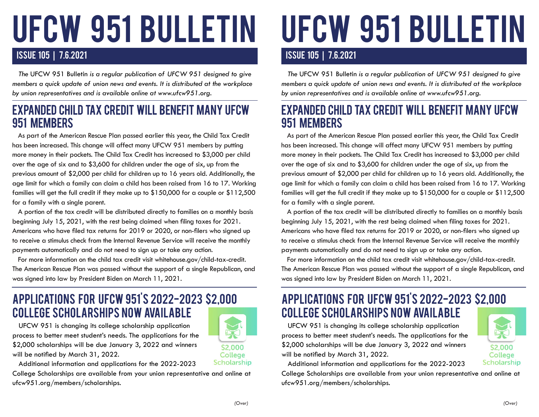# ufcw 951 BULLETIN

#### ISSUE 105 | 7.6.2021

 *The* UFCW 951 Bulletin *is a regular publication of UFCW 951 designed to give members a quick update of union news and events. It is distributed at the workplace by union representatives and is available online at www.ufcw951.org.* 

#### EXPANDED CHILD TAX CREDIT WILL BENEFIT MANY UFCW 951 MEMBERS

 As part of the American Rescue Plan passed earlier this year, the Child Tax Credit has been increased. This change will affect many UFCW 951 members by putting more money in their pockets. The Child Tax Credit has increased to \$3,000 per child over the age of six and to \$3,600 for children under the age of six, up from the previous amount of \$2,000 per child for children up to 16 years old. Additionally, the age limit for which a family can claim a child has been raised from 16 to 17. Working families will get the full credit if they make up to \$150,000 for a couple or \$112,500 for a family with a single parent.

 A portion of the tax credit will be distributed directly to families on a monthly basis beginning July 15, 2021, with the rest being claimed when filing taxes for 2021. Americans who have filed tax returns for 2019 or 2020, or non-filers who signed up to receive a stimulus check from the Internal Revenue Service will receive the monthly payments automatically and do not need to sign up or take any action.

 For more information on the child tax credit visit whitehouse.gov/child-tax-credit. The American Rescue Plan was passed without the support of a single Republican, and was signed into law by President Biden on March 11, 2021.

# APPLICATIONS FOR UFCW 951'S 2022-2023 \$2,000 COLLEGE SCHOLARSHIPS NOW AVAILABLE

 UFCW 951 is changing its college scholarship application process to better meet student's needs. The applications for the \$2,000 scholarships will be due January 3, 2022 and winners will be notified by March 31, 2022.

Additional information and applications for the 2022-2023

College Scholarships are available from your union representative and online at ufcw951.org/members/scholarships.